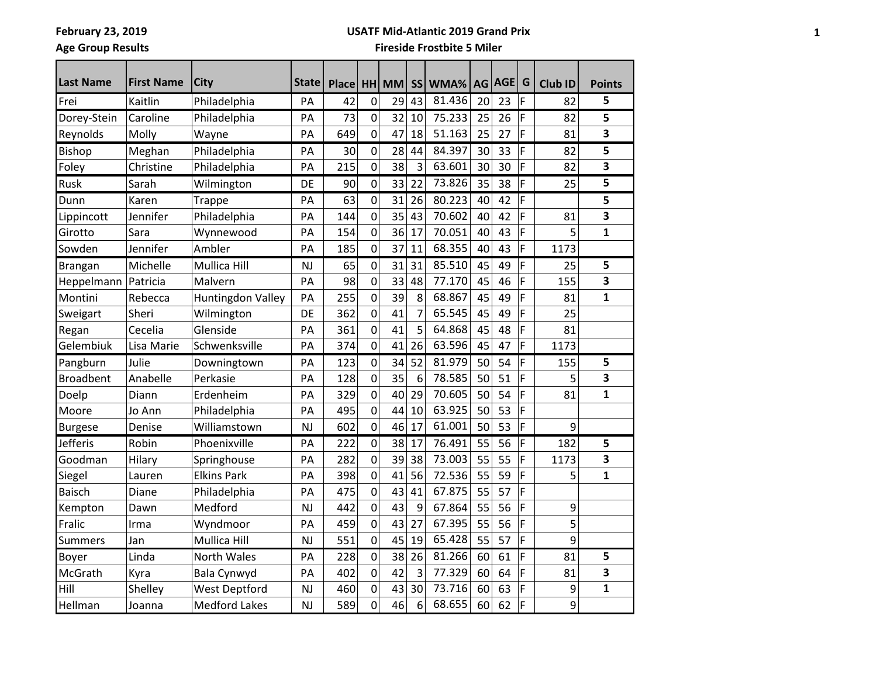# **Age Group Results**

#### **USATF Mid-Atlantic 2019 Grand Prix**

| <b>Last Name</b>      | <b>First Name</b> |                      |           |              |                |       |    |         |    |        |   |         |               |
|-----------------------|-------------------|----------------------|-----------|--------------|----------------|-------|----|---------|----|--------|---|---------|---------------|
|                       |                   | City                 | State     | <b>Place</b> |                | HH MM |    | SS WMA% |    | AG AGE | G | Club ID | <b>Points</b> |
| Frei                  | Kaitlin           | Philadelphia         | PA        | 42           | 0              | 29    | 43 | 81.436  | 20 | 23     | F | 82      | 5             |
| Dorey-Stein           | Caroline          | Philadelphia         | PA        | 73           | $\mathbf 0$    | 32    | 10 | 75.233  | 25 | 26     | F | 82      | 5             |
| Reynolds              | Molly             | Wayne                | PA        | 649          | 0              | 47    | 18 | 51.163  | 25 | 27     | F | 81      | 3             |
| <b>Bishop</b>         | Meghan            | Philadelphia         | PA        | 30           | 0              | 28    | 44 | 84.397  | 30 | 33     | F | 82      | 5             |
| Foley                 | Christine         | Philadelphia         | PA        | 215          | $\overline{0}$ | 38    | 3  | 63.601  | 30 | 30     | F | 82      | 3             |
| Rusk                  | Sarah             | Wilmington           | DE        | 90           | 0              | 33    | 22 | 73.826  | 35 | 38     | F | 25      | 5             |
| Dunn                  | Karen             | <b>Trappe</b>        | PA        | 63           | 0              | 31    | 26 | 80.223  | 40 | 42     | F |         | 5             |
| Lippincott            | Jennifer          | Philadelphia         | PA        | 144          | 0              | 35    | 43 | 70.602  | 40 | 42     | F | 81      | 3             |
| Girotto               | Sara              | Wynnewood            | PA        | 154          | 0              | 36    | 17 | 70.051  | 40 | 43     | F | 5       | 1             |
| Sowden                | Jennifer          | Ambler               | PA        | 185          | 0              | 37    | 11 | 68.355  | 40 | 43     | F | 1173    |               |
| Brangan               | Michelle          | Mullica Hill         | <b>NJ</b> | 65           | 0              | 31    | 31 | 85.510  | 45 | 49     | F | 25      | 5             |
| Heppelmann   Patricia |                   | Malvern              | PA        | 98           | $\overline{0}$ | 33    | 48 | 77.170  | 45 | 46     | F | 155     | 3             |
| Montini               | Rebecca           | Huntingdon Valley    | PA        | 255          | 0              | 39    | 8  | 68.867  | 45 | 49     | F | 81      | $\mathbf{1}$  |
| Sweigart              | Sheri             | Wilmington           | DE        | 362          | 0              | 41    | 7  | 65.545  | 45 | 49     | F | 25      |               |
| Regan                 | Cecelia           | Glenside             | PA        | 361          | 0              | 41    | 5  | 64.868  | 45 | 48     | F | 81      |               |
| Gelembiuk             | Lisa Marie        | Schwenksville        | PA        | 374          | 0              | 41    | 26 | 63.596  | 45 | 47     | F | 1173    |               |
| Pangburn              | Julie             | Downingtown          | PA        | 123          | 0              | 34    | 52 | 81.979  | 50 | 54     | F | 155     | 5             |
| Broadbent             | Anabelle          | Perkasie             | PA        | 128          | 0              | 35    | 6  | 78.585  | 50 | 51     | F | 5       | 3             |
| Doelp                 | Diann             | Erdenheim            | PA        | 329          | 0              | 40    | 29 | 70.605  | 50 | 54     | F | 81      | $\mathbf{1}$  |
| Moore                 | Jo Ann            | Philadelphia         | PA        | 495          | 0              | 44    | 10 | 63.925  | 50 | 53     | F |         |               |
| <b>Burgese</b>        | Denise            | Williamstown         | NJ        | 602          | 0              | 46    | 17 | 61.001  | 50 | 53     | F | 9       |               |
| <b>Jefferis</b>       | Robin             | Phoenixville         | PA        | 222          | 0              | 38    | 17 | 76.491  | 55 | 56     | F | 182     | 5             |
| Goodman               | Hilary            | Springhouse          | PA        | 282          | 0              | 39    | 38 | 73.003  | 55 | 55     | F | 1173    | 3             |
| Siegel                | Lauren            | <b>Elkins Park</b>   | PA        | 398          | 0              | 41    | 56 | 72.536  | 55 | 59     | F | 5       | $\mathbf{1}$  |
| <b>Baisch</b>         | Diane             | Philadelphia         | PA        | 475          | 0              | 43    | 41 | 67.875  | 55 | 57     | F |         |               |
| Kempton               | Dawn              | Medford              | NJ        | 442          | 0              | 43    | 9  | 67.864  | 55 | 56     | F | 9       |               |
| Fralic                | Irma              | Wyndmoor             | PA        | 459          | 0              | 43    | 27 | 67.395  | 55 | 56     | F | 5       |               |
| <b>Summers</b>        | Jan               | Mullica Hill         | <b>NJ</b> | 551          | 0              | 45    | 19 | 65.428  | 55 | 57     | F | 9       |               |
| Boyer                 | Linda             | North Wales          | PA        | 228          | $\pmb{0}$      | 38    | 26 | 81.266  | 60 | 61     | F | 81      | 5             |
| McGrath               | Kyra              | Bala Cynwyd          | PA        | 402          | 0              | 42    | 3  | 77.329  | 60 | 64     | F | 81      | 3             |
| Hill                  | Shelley           | <b>West Deptford</b> | <b>NJ</b> | 460          | 0              | 43    | 30 | 73.716  | 60 | 63     | F | 9       | 1             |
| Hellman               | Joanna            | <b>Medford Lakes</b> | NJ        | 589          | $\overline{0}$ | 46    | 6  | 68.655  | 60 | 62     | F | 9       |               |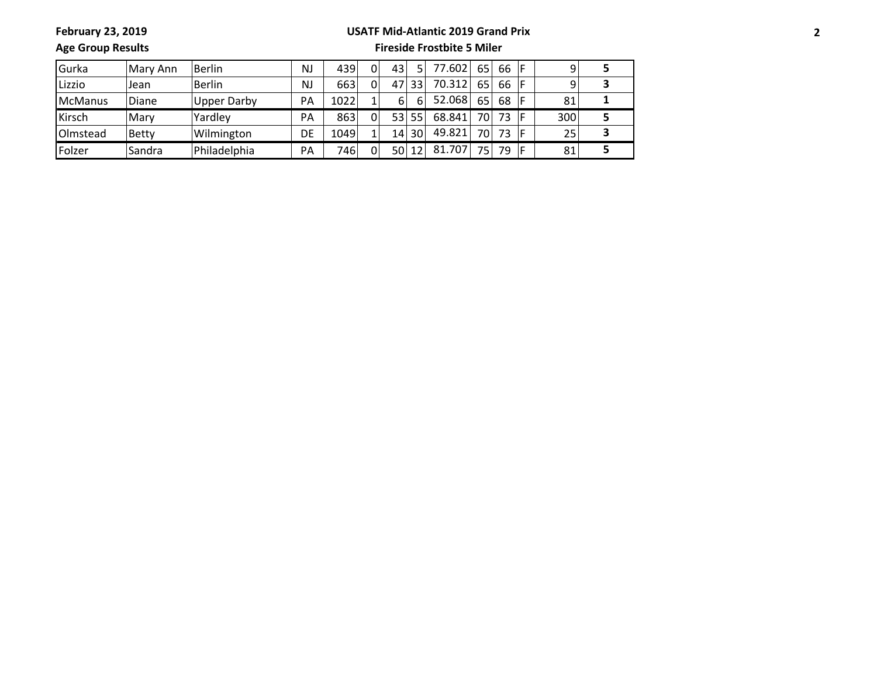**February 23, 2019**

#### **USATF Mid-Atlantic 2019 Grand Prix**

**Age Group Results**

| <b>Gurka</b>    | Mary Ann     | Berlin             | <b>NJ</b> | 439  | $\Omega$ | 43              | 5. | 77.602 | 65              | 66 |     |  |
|-----------------|--------------|--------------------|-----------|------|----------|-----------------|----|--------|-----------------|----|-----|--|
| Lizzio          | Jean         | Berlin             | <b>NJ</b> | 663  | $\Omega$ | 47              | 33 | 70.312 | 65              | 66 |     |  |
| McManus         | Diane        | <b>Upper Darby</b> | PA        | 1022 | 1        | 6               | 6  | 52.068 | 65              | 68 | 81  |  |
| Kirsch          | Mary         | Yardley            | PA        | 863  | $\Omega$ | 53              | 55 | 68.841 | 70              | 73 | 300 |  |
| <b>Olmstead</b> | <b>Betty</b> | Wilmington         | DE        | 1049 |          | 14 <sub>1</sub> | 30 | 49.821 | 70              | 73 | 25  |  |
| Folzer          | Sandra       | Philadelphia       | PA        | 746  | $\Omega$ | 50              | 12 | 81.707 | 75 <sub>1</sub> | 79 | 81  |  |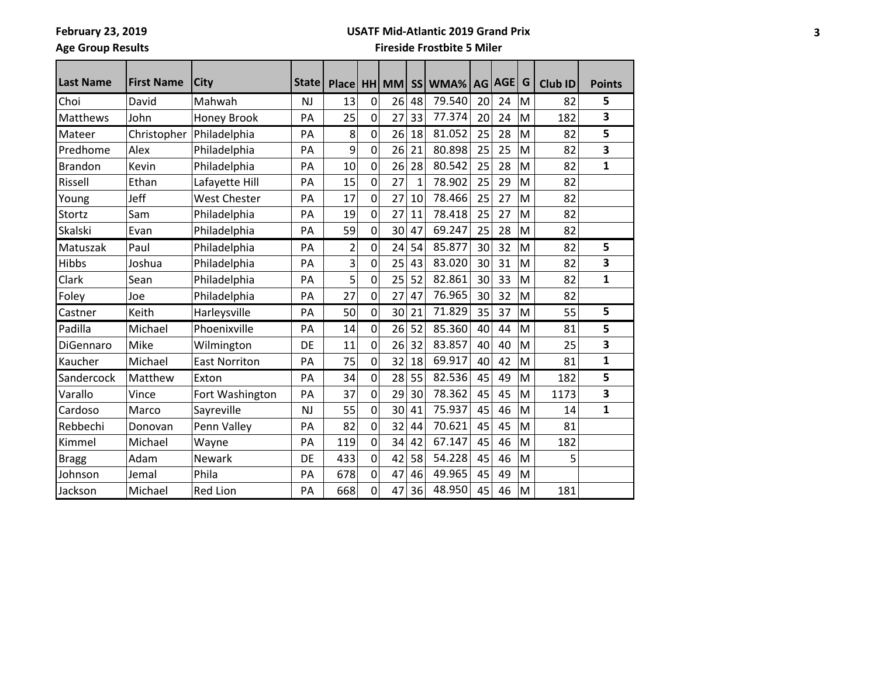# **Age Group Results**

#### **USATF Mid-Atlantic 2019 Grand Prix**

| <b>Last Name</b> | <b>First Name</b> | <b>City</b>          | State     | Place HH MM |                |    |    | SS WMA% |    | AG AGE | G | Club ID | <b>Points</b> |
|------------------|-------------------|----------------------|-----------|-------------|----------------|----|----|---------|----|--------|---|---------|---------------|
| Choi             | David             | Mahwah               | NJ        | 13          | 0              | 26 | 48 | 79.540  | 20 | 24     | M | 82      | 5             |
| Matthews         | John              | <b>Honey Brook</b>   | PA        | 25          | 0              | 27 | 33 | 77.374  | 20 | 24     | M | 182     | 3             |
| Mateer           | Christopher       | Philadelphia         | PA        | 8           | 0              | 26 | 18 | 81.052  | 25 | 28     | M | 82      | 5             |
| Predhome         | Alex              | Philadelphia         | PA        | 9           | $\mathbf 0$    | 26 | 21 | 80.898  | 25 | 25     | M | 82      | 3             |
| <b>Brandon</b>   | Kevin             | Philadelphia         | PA        | 10          | 0              | 26 | 28 | 80.542  | 25 | 28     | M | 82      | 1             |
| Rissell          | Ethan             | Lafayette Hill       | PA        | 15          | 0              | 27 | 1  | 78.902  | 25 | 29     | M | 82      |               |
| Young            | Jeff              | <b>West Chester</b>  | PA        | 17          | $\overline{0}$ | 27 | 10 | 78.466  | 25 | 27     | M | 82      |               |
| Stortz           | Sam               | Philadelphia         | PA        | 19          | $\mathbf 0$    | 27 | 11 | 78.418  | 25 | 27     | M | 82      |               |
| Skalski          | Evan              | Philadelphia         | PA        | 59          | $\mathbf 0$    | 30 | 47 | 69.247  | 25 | 28     | M | 82      |               |
| Matuszak         | Paul              | Philadelphia         | PA        | 2           | $\overline{0}$ | 24 | 54 | 85.877  | 30 | 32     | M | 82      | 5             |
| <b>Hibbs</b>     | Joshua            | Philadelphia         | PA        | 3           | $\mathbf 0$    | 25 | 43 | 83.020  | 30 | 31     | M | 82      | 3             |
| Clark            | Sean              | Philadelphia         | PA        | 5           | $\mathbf 0$    | 25 | 52 | 82.861  | 30 | 33     | M | 82      | $\mathbf{1}$  |
| Foley            | Joe               | Philadelphia         | PA        | 27          | $\mathbf 0$    | 27 | 47 | 76.965  | 30 | 32     | M | 82      |               |
| Castner          | Keith             | Harleysville         | PA        | 50          | $\mathbf 0$    | 30 | 21 | 71.829  | 35 | 37     | M | 55      | 5             |
| Padilla          | Michael           | Phoenixville         | PA        | 14          | 0              | 26 | 52 | 85.360  | 40 | 44     | M | 81      | 5             |
| DiGennaro        | Mike              | Wilmington           | DE        | 11          | 0              | 26 | 32 | 83.857  | 40 | 40     | M | 25      | 3             |
| Kaucher          | Michael           | <b>East Norriton</b> | PA        | 75          | 0              | 32 | 18 | 69.917  | 40 | 42     | M | 81      | 1             |
| Sandercock       | Matthew           | Exton                | PA        | 34          | $\mathbf 0$    | 28 | 55 | 82.536  | 45 | 49     | M | 182     | 5             |
| Varallo          | Vince             | Fort Washington      | PA        | 37          | $\mathbf 0$    | 29 | 30 | 78.362  | 45 | 45     | M | 1173    | 3             |
| Cardoso          | Marco             | Sayreville           | <b>NJ</b> | 55          | 0              | 30 | 41 | 75.937  | 45 | 46     | M | 14      | 1             |
| Rebbechi         | Donovan           | Penn Valley          | PA        | 82          | $\mathbf 0$    | 32 | 44 | 70.621  | 45 | 45     | M | 81      |               |
| Kimmel           | Michael           | Wayne                | PA        | 119         | 0              | 34 | 42 | 67.147  | 45 | 46     | M | 182     |               |
| <b>Bragg</b>     | Adam              | <b>Newark</b>        | DE        | 433         | $\overline{0}$ | 42 | 58 | 54.228  | 45 | 46     | M | 5       |               |
| Johnson          | Jemal             | Phila                | PA        | 678         | $\mathbf 0$    | 47 | 46 | 49.965  | 45 | 49     | M |         |               |
| Jackson          | Michael           | <b>Red Lion</b>      | PA        | 668         | 0              | 47 | 36 | 48.950  | 45 | 46     | M | 181     |               |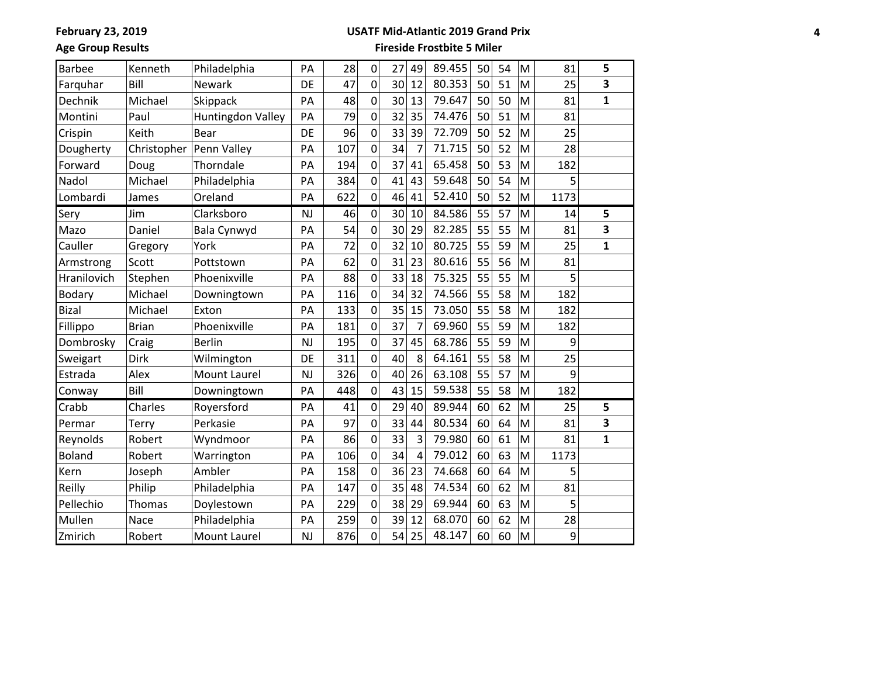**February 23, 2019**

#### **USATF Mid-Atlantic 2019 Grand Prix**

**Age Group Results**

| <b>Barbee</b> | Kenneth      | Philadelphia      | PA        | 28  | 0              | 27 | 49             | 89.455 | 50 | 54 | M | 81   | 5            |
|---------------|--------------|-------------------|-----------|-----|----------------|----|----------------|--------|----|----|---|------|--------------|
| Farquhar      | Bill         | Newark            | DE        | 47  | $\mathbf 0$    | 30 | 12             | 80.353 | 50 | 51 | M | 25   | 3            |
| Dechnik       | Michael      | Skippack          | PA        | 48  | $\overline{0}$ | 30 | 13             | 79.647 | 50 | 50 | M | 81   | $\mathbf{1}$ |
| Montini       | Paul         | Huntingdon Valley | PA        | 79  | 0              | 32 | 35             | 74.476 | 50 | 51 | M | 81   |              |
| Crispin       | Keith        | Bear              | DE        | 96  | $\overline{0}$ | 33 | 39             | 72.709 | 50 | 52 | M | 25   |              |
| Dougherty     | Christopher  | Penn Valley       | PA        | 107 | 0              | 34 | 7              | 71.715 | 50 | 52 | M | 28   |              |
| Forward       | Doug         | Thorndale         | PA        | 194 | 0              | 37 | 41             | 65.458 | 50 | 53 | M | 182  |              |
| Nadol         | Michael      | Philadelphia      | PA        | 384 | 0              | 41 | 43             | 59.648 | 50 | 54 | M | 5    |              |
| Lombardi      | James        | Oreland           | PA        | 622 | $\mathbf 0$    | 46 | 41             | 52.410 | 50 | 52 | M | 1173 |              |
| Sery          | Jim          | Clarksboro        | <b>NJ</b> | 46  | 0              | 30 | 10             | 84.586 | 55 | 57 | M | 14   | 5            |
| Mazo          | Daniel       | Bala Cynwyd       | PA        | 54  | $\overline{0}$ | 30 | 29             | 82.285 | 55 | 55 | M | 81   | 3            |
| Cauller       | Gregory      | York              | PA        | 72  | $\mathbf 0$    | 32 | 10             | 80.725 | 55 | 59 | M | 25   | $\mathbf{1}$ |
| Armstrong     | Scott        | Pottstown         | PA        | 62  | $\overline{0}$ | 31 | 23             | 80.616 | 55 | 56 | M | 81   |              |
| Hranilovich   | Stephen      | Phoenixville      | PA        | 88  | 0              | 33 | 18             | 75.325 | 55 | 55 | M | 5    |              |
| Bodary        | Michael      | Downingtown       | PA        | 116 | $\mathbf 0$    | 34 | 32             | 74.566 | 55 | 58 | M | 182  |              |
| <b>Bizal</b>  | Michael      | Exton             | PA        | 133 | 0              | 35 | 15             | 73.050 | 55 | 58 | M | 182  |              |
| Fillippo      | <b>Brian</b> | Phoenixville      | PA        | 181 | $\mathbf 0$    | 37 | 7              | 69.960 | 55 | 59 | M | 182  |              |
| Dombrosky     | Craig        | <b>Berlin</b>     | <b>NJ</b> | 195 | 0              | 37 | 45             | 68.786 | 55 | 59 | M | 9    |              |
| Sweigart      | <b>Dirk</b>  | Wilmington        | DE        | 311 | $\overline{0}$ | 40 | 8              | 64.161 | 55 | 58 | M | 25   |              |
| Estrada       | Alex         | Mount Laurel      | <b>NJ</b> | 326 | 0              | 40 | 26             | 63.108 | 55 | 57 | M | 9    |              |
| Conway        | Bill         | Downingtown       | PA        | 448 | $\mathbf 0$    | 43 | 15             | 59.538 | 55 | 58 | M | 182  |              |
| Crabb         | Charles      | Royersford        | PA        | 41  | 0              | 29 | 40             | 89.944 | 60 | 62 | M | 25   | 5            |
| Permar        | Terry        | Perkasie          | PA        | 97  | $\mathbf 0$    | 33 | 44             | 80.534 | 60 | 64 | M | 81   | 3            |
| Reynolds      | Robert       | Wyndmoor          | PA        | 86  | 0              | 33 | 3              | 79.980 | 60 | 61 | M | 81   | $\mathbf{1}$ |
| <b>Boland</b> | Robert       | Warrington        | PA        | 106 | $\mathbf 0$    | 34 | $\overline{4}$ | 79.012 | 60 | 63 | M | 1173 |              |
| Kern          | Joseph       | Ambler            | PA        | 158 | 0              | 36 | 23             | 74.668 | 60 | 64 | M | 5    |              |
| Reilly        | Philip       | Philadelphia      | PA        | 147 | $\overline{0}$ | 35 | 48             | 74.534 | 60 | 62 | M | 81   |              |
| Pellechio     | Thomas       | Doylestown        | PA        | 229 | 0              | 38 | 29             | 69.944 | 60 | 63 | M | 5    |              |
| Mullen        | Nace         | Philadelphia      | PA        | 259 | $\mathbf 0$    | 39 | 12             | 68.070 | 60 | 62 | M | 28   |              |
| Zmirich       | Robert       | Mount Laurel      | <b>NJ</b> | 876 | $\mathbf 0$    | 54 | 25             | 48.147 | 60 | 60 | M | 9    |              |